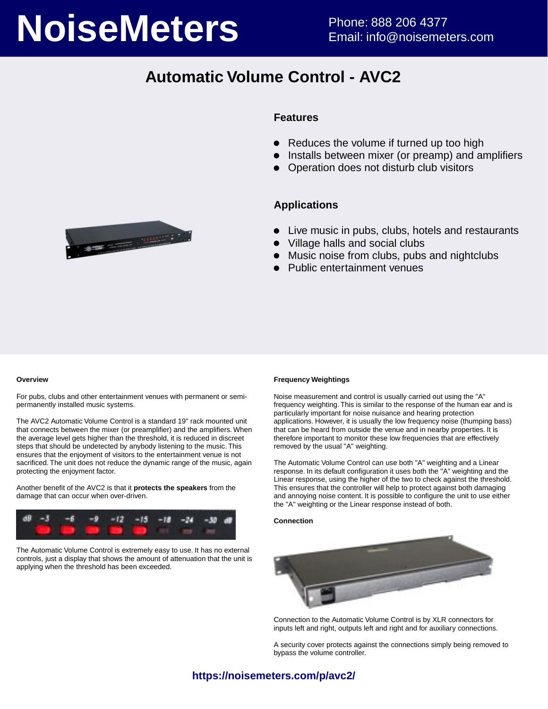# **NoiseMeters** Phone: 888 206 4377

# **Automatic Volume Control - AVC2**



#### **Features**

- Reduces the volume if turned up too high
- Installs between mixer (or preamp) and amplifiers
- Operation does not disturb club visitors

#### **Applications**

- Live music in pubs, clubs, hotels and restaurants
- Village halls and social clubs
- Music noise from clubs, pubs and nightclubs
- Public entertainment venues

#### **Overview**

For pubs, clubs and other entertainment venues with permanent or semipermanently installed music systems.

The AVC2 Automatic Volume Control is a standard 19" rack mounted unit that connects between the mixer (or preamplifier) and the amplifiers. When the average level gets higher than the threshold, it is reduced in discreet steps that should be undetected by anybody listening to the music. This ensures that the enjoyment of visitors to the entertainment venue is not sacrificed. The unit does not reduce the dynamic range of the music, again protecting the enjoyment factor.

Another benefit of the AVC2 is that it **protects the speakers** from the damage that can occur when over-driven.



The Automatic Volume Control is extremely easy to use. It has no external controls, just a display that shows the amount of attenuation that the unit is applying when the threshold has been exceeded.

#### **Frequency Weightings**

Noise measurement and control is usually carried out using the "A" frequency weighting. This is similar to the response of the human ear and is particularly important for noise nuisance and hearing protection applications. However, it is usually the low frequency noise (thumping bass) that can be heard from outside the venue and in nearby properties. It is therefore important to monitor these low frequencies that are effectively removed by the usual "A" weighting.

The Automatic Volume Control can use both "A" weighting and a Linear response. In its default configuration it uses both the "A" weighting and the Linear response, using the higher of the two to check against the threshold. This ensures that the controller will help to protect against both damaging and annoying noise content. It is possible to configure the unit to use either the "A" weighting or the Linear response instead of both.

#### **Connection**



Connection to the Automatic Volume Control is by XLR connectors for inputs left and right, outputs left and right and for auxiliary connections.

A security cover protects against the connections simply being removed to bypass the volume controller.

#### **https://noisemeters.com/p/avc2/**